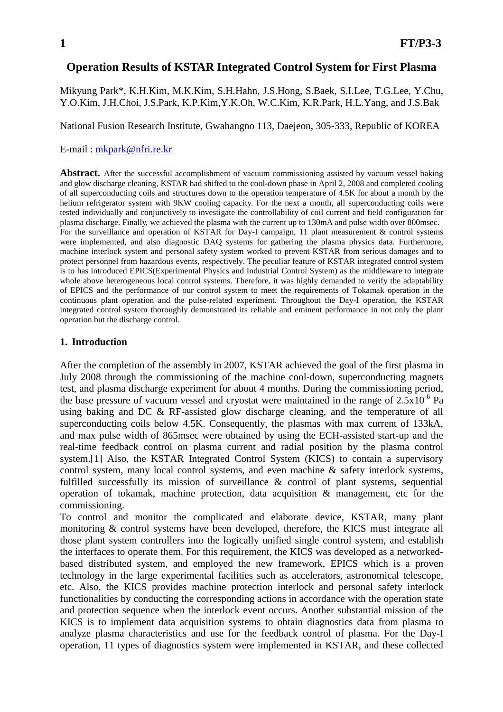# **Operation Results of KSTAR Integrated Control System for First Plasma**

Mikyung Park\*, K.H.Kim, M.K.Kim, S.H.Hahn, J.S.Hong, S.Baek, S.I.Lee, T.G.Lee, Y.Chu, Y.O.Kim, J.H.Choi, J.S.Park, K.P.Kim,Y.K.Oh, W.C.Kim, K.R.Park, H.L.Yang, and J.S.Bak

National Fusion Research Institute, Gwahangno 113, Daejeon, 305-333, Republic of KOREA

#### E-mail : mkpark@nfri.re.kr

**Abstract.** After the successful accomplishment of vacuum commissioning assisted by vacuum vessel baking and glow discharge cleaning, KSTAR had shifted to the cool-down phase in April 2, 2008 and completed cooling of all superconducting coils and structures down to the operation temperature of 4.5K for about a month by the helium refrigerator system with 9KW cooling capacity. For the next a month, all superconducting coils were tested individually and conjunctively to investigate the controllability of coil current and field configuration for plasma discharge. Finally, we achieved the plasma with the current up to 130mA and pulse width over 800msec. For the surveillance and operation of KSTAR for Day-I campaign, 11 plant measurement & control systems were implemented, and also diagnostic DAQ systems for gathering the plasma physics data. Furthermore, machine interlock system and personal safety system worked to prevent KSTAR from serious damages and to protect personnel from hazardous events, respectively. The peculiar feature of KSTAR integrated control system is to has introduced EPICS(Experimental Physics and Industrial Control System) as the middleware to integrate whole above heterogeneous local control systems. Therefore, it was highly demanded to verify the adaptability of EPICS and the performance of our control system to meet the requirements of Tokamak operation in the continuous plant operation and the pulse-related experiment. Throughout the Day-I operation, the KSTAR integrated control system thoroughly demonstrated its reliable and eminent performance in not only the plant operation but the discharge control.

### **1. Introduction**

After the completion of the assembly in 2007, KSTAR achieved the goal of the first plasma in July 2008 through the commissioning of the machine cool-down, superconducting magnets test, and plasma discharge experiment for about 4 months. During the commissioning period, the base pressure of vacuum vessel and cryostat were maintained in the range of  $2.5x10^{-6}$  Pa using baking and DC & RF-assisted glow discharge cleaning, and the temperature of all superconducting coils below 4.5K. Consequently, the plasmas with max current of 133kA, and max pulse width of 865msec were obtained by using the ECH-assisted start-up and the real-time feedback control on plasma current and radial position by the plasma control system.[1] Also, the KSTAR Integrated Control System (KICS) to contain a supervisory control system, many local control systems, and even machine & safety interlock systems, fulfilled successfully its mission of surveillance & control of plant systems, sequential operation of tokamak, machine protection, data acquisition & management, etc for the commissioning.

To control and monitor the complicated and elaborate device, KSTAR, many plant monitoring & control systems have been developed, therefore, the KICS must integrate all those plant system controllers into the logically unified single control system, and establish the interfaces to operate them. For this requirement, the KICS was developed as a networkedbased distributed system, and employed the new framework, EPICS which is a proven technology in the large experimental facilities such as accelerators, astronomical telescope, etc. Also, the KICS provides machine protection interlock and personal safety interlock functionalities by conducting the corresponding actions in accordance with the operation state and protection sequence when the interlock event occurs. Another substantial mission of the KICS is to implement data acquisition systems to obtain diagnostics data from plasma to analyze plasma characteristics and use for the feedback control of plasma. For the Day-I operation, 11 types of diagnostics system were implemented in KSTAR, and these collected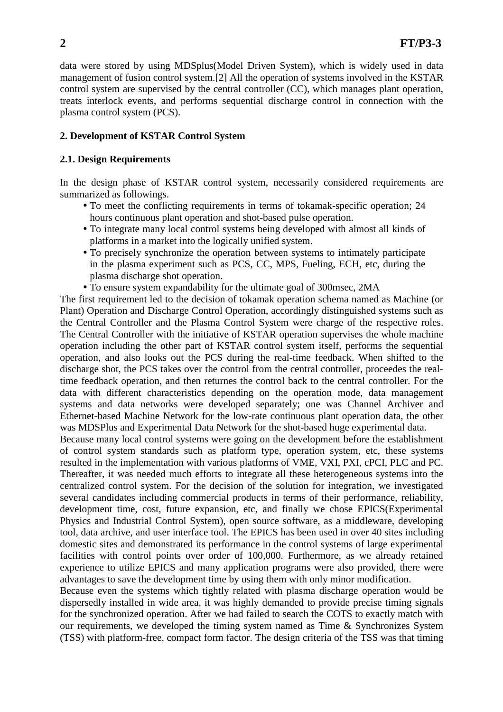data were stored by using MDSplus(Model Driven System), which is widely used in data management of fusion control system.[2] All the operation of systems involved in the KSTAR control system are supervised by the central controller (CC), which manages plant operation, treats interlock events, and performs sequential discharge control in connection with the plasma control system (PCS).

## **2. Development of KSTAR Control System**

## **2.1. Design Requirements**

In the design phase of KSTAR control system, necessarily considered requirements are summarized as followings.

- To meet the conflicting requirements in terms of tokamak-specific operation; 24 hours continuous plant operation and shot-based pulse operation.
- To integrate many local control systems being developed with almost all kinds of platforms in a market into the logically unified system.
- To precisely synchronize the operation between systems to intimately participate in the plasma experiment such as PCS, CC, MPS, Fueling, ECH, etc, during the plasma discharge shot operation.
- y To ensure system expandability for the ultimate goal of 300msec, 2MA

The first requirement led to the decision of tokamak operation schema named as Machine (or Plant) Operation and Discharge Control Operation, accordingly distinguished systems such as the Central Controller and the Plasma Control System were charge of the respective roles. The Central Controller with the initiative of KSTAR operation supervises the whole machine operation including the other part of KSTAR control system itself, performs the sequential operation, and also looks out the PCS during the real-time feedback. When shifted to the discharge shot, the PCS takes over the control from the central controller, proceedes the realtime feedback operation, and then returnes the control back to the central controller. For the data with different characteristics depending on the operation mode, data management systems and data networks were developed separately; one was Channel Archiver and Ethernet-based Machine Network for the low-rate continuous plant operation data, the other was MDSPlus and Experimental Data Network for the shot-based huge experimental data.

Because many local control systems were going on the development before the establishment of control system standards such as platform type, operation system, etc, these systems resulted in the implementation with various platforms of VME, VXI, PXI, cPCI, PLC and PC. Thereafter, it was needed much efforts to integrate all these heterogeneous systems into the centralized control system. For the decision of the solution for integration, we investigated several candidates including commercial products in terms of their performance, reliability, development time, cost, future expansion, etc, and finally we chose EPICS(Experimental Physics and Industrial Control System), open source software, as a middleware, developing tool, data archive, and user interface tool. The EPICS has been used in over 40 sites including domestic sites and demonstrated its performance in the control systems of large experimental facilities with control points over order of 100,000. Furthermore, as we already retained experience to utilize EPICS and many application programs were also provided, there were advantages to save the development time by using them with only minor modification.

Because even the systems which tightly related with plasma discharge operation would be dispersedly installed in wide area, it was highly demanded to provide precise timing signals for the synchronized operation. After we had failed to search the COTS to exactly match with our requirements, we developed the timing system named as Time & Synchronizes System (TSS) with platform-free, compact form factor. The design criteria of the TSS was that timing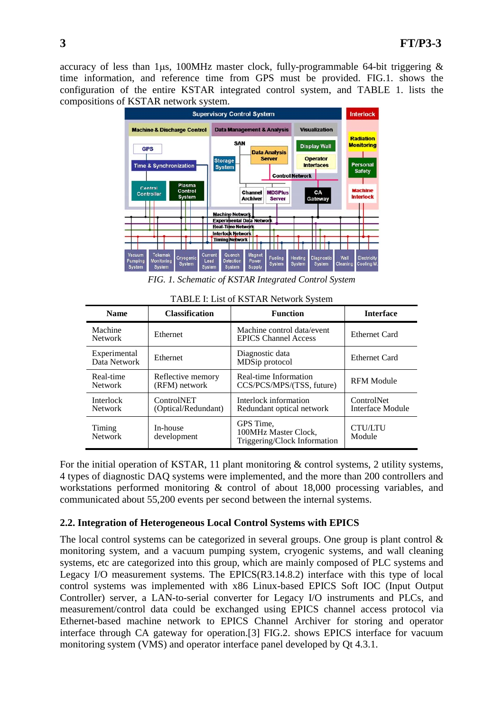accuracy of less than 1μs, 100MHz master clock, fully-programmable 64-bit triggering & time information, and reference time from GPS must be provided. FIG.1. shows the configuration of the entire KSTAR integrated control system, and TABLE 1. lists the compositions of KSTAR network system.



*FIG. 1. Schematic of KSTAR Integrated Control System* 

| TABLE I: List of KSTAR Network System |          |  |
|---------------------------------------|----------|--|
| Classification                        | Function |  |

| <b>Name</b>                        | <b>Classification</b>                    | <b>Function</b>                                                   | <b>Interface</b>                      |
|------------------------------------|------------------------------------------|-------------------------------------------------------------------|---------------------------------------|
| Machine<br><b>Network</b>          | Ethernet                                 | Machine control data/event<br><b>EPICS Channel Access</b>         | <b>Ethernet Card</b>                  |
| Experimental<br>Data Network       | Ethernet                                 | Diagnostic data<br>MDSip protocol                                 | Ethernet Card                         |
| Real-time<br>Network               | Reflective memory<br>(RFM) network       | Real-time Information<br>CCS/PCS/MPS/(TSS, future)                | <b>RFM Module</b>                     |
| <b>Interlock</b><br><b>Network</b> | <b>ControlNET</b><br>(Optical/Redundant) | Interlock information<br>Redundant optical network                | <b>ControlNet</b><br>Interface Module |
| Timing<br><b>Network</b>           | In-house<br>development                  | GPS Time,<br>100MHz Master Clock,<br>Triggering/Clock Information | <b>CTU/LTU</b><br>Module              |

For the initial operation of KSTAR, 11 plant monitoring & control systems, 2 utility systems, 4 types of diagnostic DAQ systems were implemented, and the more than 200 controllers and workstations performed monitoring & control of about 18,000 processing variables, and communicated about 55,200 events per second between the internal systems.

# **2.2. Integration of Heterogeneous Local Control Systems with EPICS**

The local control systems can be categorized in several groups. One group is plant control  $\&$ monitoring system, and a vacuum pumping system, cryogenic systems, and wall cleaning systems, etc are categorized into this group, which are mainly composed of PLC systems and Legacy I/O measurement systems. The EPICS(R3.14.8.2) interface with this type of local control systems was implemented with x86 Linux-based EPICS Soft IOC (Input Output Controller) server, a LAN-to-serial converter for Legacy I/O instruments and PLCs, and measurement/control data could be exchanged using EPICS channel access protocol via Ethernet-based machine network to EPICS Channel Archiver for storing and operator interface through CA gateway for operation.[3] FIG.2. shows EPICS interface for vacuum monitoring system (VMS) and operator interface panel developed by Qt 4.3.1.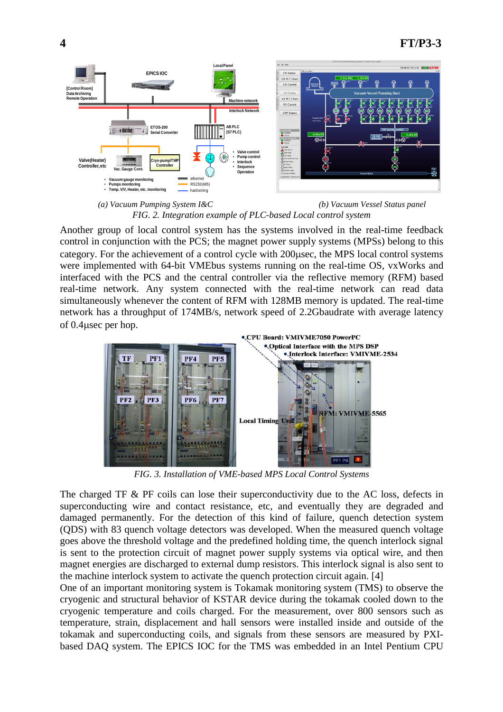

*(a) Vacuum Pumping System I&C (b) Vacuum Vessel Status panel FIG. 2. Integration example of PLC-based Local control system* 

Another group of local control system has the systems involved in the real-time feedback control in conjunction with the PCS; the magnet power supply systems (MPSs) belong to this category. For the achievement of a control cycle with 200μsec, the MPS local control systems were implemented with 64-bit VMEbus systems running on the real-time OS, vxWorks and interfaced with the PCS and the central controller via the reflective memory (RFM) based real-time network. Any system connected with the real-time network can read data simultaneously whenever the content of RFM with 128MB memory is updated. The real-time network has a throughput of 174MB/s, network speed of 2.2Gbaudrate with average latency of 0.4μsec per hop.



*FIG. 3. Installation of VME-based MPS Local Control Systems* 

The charged TF & PF coils can lose their superconductivity due to the AC loss, defects in superconducting wire and contact resistance, etc, and eventually they are degraded and damaged permanently. For the detection of this kind of failure, quench detection system (QDS) with 83 quench voltage detectors was developed. When the measured quench voltage goes above the threshold voltage and the predefined holding time, the quench interlock signal is sent to the protection circuit of magnet power supply systems via optical wire, and then magnet energies are discharged to external dump resistors. This interlock signal is also sent to the machine interlock system to activate the quench protection circuit again. [4]

One of an important monitoring system is Tokamak monitoring system (TMS) to observe the cryogenic and structural behavior of KSTAR device during the tokamak cooled down to the cryogenic temperature and coils charged. For the measurement, over 800 sensors such as temperature, strain, displacement and hall sensors were installed inside and outside of the tokamak and superconducting coils, and signals from these sensors are measured by PXIbased DAQ system. The EPICS IOC for the TMS was embedded in an Intel Pentium CPU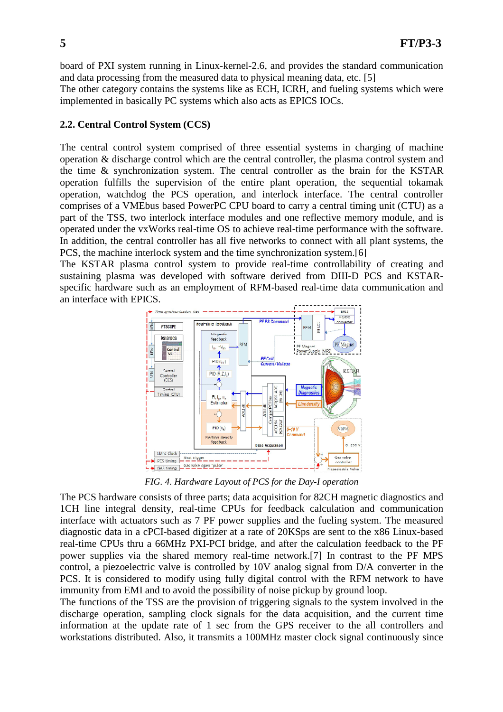board of PXI system running in Linux-kernel-2.6, and provides the standard communication and data processing from the measured data to physical meaning data, etc. [5]

The other category contains the systems like as ECH, ICRH, and fueling systems which were implemented in basically PC systems which also acts as EPICS IOCs.

### **2.2. Central Control System (CCS)**

The central control system comprised of three essential systems in charging of machine operation & discharge control which are the central controller, the plasma control system and the time & synchronization system. The central controller as the brain for the KSTAR operation fulfills the supervision of the entire plant operation, the sequential tokamak operation, watchdog the PCS operation, and interlock interface. The central controller comprises of a VMEbus based PowerPC CPU board to carry a central timing unit (CTU) as a part of the TSS, two interlock interface modules and one reflective memory module, and is operated under the vxWorks real-time OS to achieve real-time performance with the software. In addition, the central controller has all five networks to connect with all plant systems, the PCS, the machine interlock system and the time synchronization system.[6]

The KSTAR plasma control system to provide real-time controllability of creating and sustaining plasma was developed with software derived from DIII-D PCS and KSTARspecific hardware such as an employment of RFM-based real-time data communication and an interface with EPICS.



*FIG. 4. Hardware Layout of PCS for the Day-I operation* 

The PCS hardware consists of three parts; data acquisition for 82CH magnetic diagnostics and 1CH line integral density, real-time CPUs for feedback calculation and communication interface with actuators such as 7 PF power supplies and the fueling system. The measured diagnostic data in a cPCI-based digitizer at a rate of 20KSps are sent to the x86 Linux-based real-time CPUs thru a 66MHz PXI-PCI bridge, and after the calculation feedback to the PF power supplies via the shared memory real-time network.[7] In contrast to the PF MPS control, a piezoelectric valve is controlled by 10V analog signal from D/A converter in the PCS. It is considered to modify using fully digital control with the RFM network to have immunity from EMI and to avoid the possibility of noise pickup by ground loop.

The functions of the TSS are the provision of triggering signals to the system involved in the discharge operation, sampling clock signals for the data acquisition, and the current time information at the update rate of 1 sec from the GPS receiver to the all controllers and workstations distributed. Also, it transmits a 100MHz master clock signal continuously since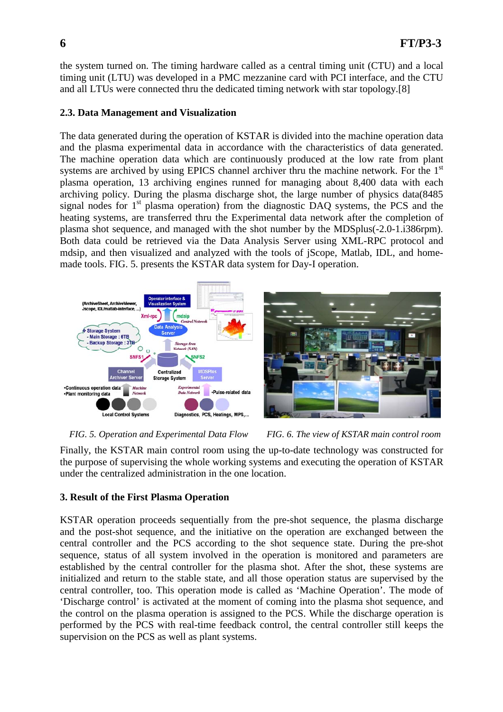the system turned on. The timing hardware called as a central timing unit (CTU) and a local timing unit (LTU) was developed in a PMC mezzanine card with PCI interface, and the CTU and all LTUs were connected thru the dedicated timing network with star topology.[8]

### **2.3. Data Management and Visualization**

The data generated during the operation of KSTAR is divided into the machine operation data and the plasma experimental data in accordance with the characteristics of data generated. The machine operation data which are continuously produced at the low rate from plant systems are archived by using EPICS channel archiver thru the machine network. For the 1<sup>st</sup> plasma operation, 13 archiving engines runned for managing about 8,400 data with each archiving policy. During the plasma discharge shot, the large number of physics data(8485 signal nodes for  $1<sup>st</sup>$  plasma operation) from the diagnostic DAQ systems, the PCS and the heating systems, are transferred thru the Experimental data network after the completion of plasma shot sequence, and managed with the shot number by the MDSplus(-2.0-1.i386rpm). Both data could be retrieved via the Data Analysis Server using XML-RPC protocol and mdsip, and then visualized and analyzed with the tools of jScope, Matlab, IDL, and homemade tools. FIG. 5. presents the KSTAR data system for Day-I operation.



*FIG. 5. Operation and Experimental Data Flow FIG. 6. The view of KSTAR main control room* 

Finally, the KSTAR main control room using the up-to-date technology was constructed for the purpose of supervising the whole working systems and executing the operation of KSTAR under the centralized administration in the one location.

### **3. Result of the First Plasma Operation**

KSTAR operation proceeds sequentially from the pre-shot sequence, the plasma discharge and the post-shot sequence, and the initiative on the operation are exchanged between the central controller and the PCS according to the shot sequence state. During the pre-shot sequence, status of all system involved in the operation is monitored and parameters are established by the central controller for the plasma shot. After the shot, these systems are initialized and return to the stable state, and all those operation status are supervised by the central controller, too. This operation mode is called as 'Machine Operation'. The mode of 'Discharge control' is activated at the moment of coming into the plasma shot sequence, and the control on the plasma operation is assigned to the PCS. While the discharge operation is performed by the PCS with real-time feedback control, the central controller still keeps the supervision on the PCS as well as plant systems.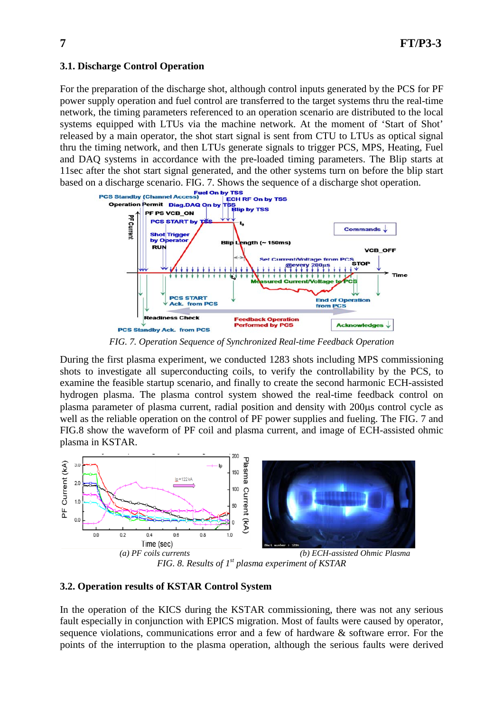## **3.1. Discharge Control Operation**

For the preparation of the discharge shot, although control inputs generated by the PCS for PF power supply operation and fuel control are transferred to the target systems thru the real-time network, the timing parameters referenced to an operation scenario are distributed to the local systems equipped with LTUs via the machine network. At the moment of 'Start of Shot' released by a main operator, the shot start signal is sent from CTU to LTUs as optical signal thru the timing network, and then LTUs generate signals to trigger PCS, MPS, Heating, Fuel and DAQ systems in accordance with the pre-loaded timing parameters. The Blip starts at 11sec after the shot start signal generated, and the other systems turn on before the blip start



*FIG. 7. Operation Sequence of Synchronized Real-time Feedback Operation* 

During the first plasma experiment, we conducted 1283 shots including MPS commissioning shots to investigate all superconducting coils, to verify the controllability by the PCS, to examine the feasible startup scenario, and finally to create the second harmonic ECH-assisted hydrogen plasma. The plasma control system showed the real-time feedback control on plasma parameter of plasma current, radial position and density with 200μs control cycle as well as the reliable operation on the control of PF power supplies and fueling. The FIG. 7 and FIG.8 show the waveform of PF coil and plasma current, and image of ECH-assisted ohmic plasma in KSTAR.



*FIG. 8. Results of 1st plasma experiment of KSTAR* 

### **3.2. Operation results of KSTAR Control System**

In the operation of the KICS during the KSTAR commissioning, there was not any serious fault especially in conjunction with EPICS migration. Most of faults were caused by operator, sequence violations, communications error and a few of hardware  $\&$  software error. For the points of the interruption to the plasma operation, although the serious faults were derived